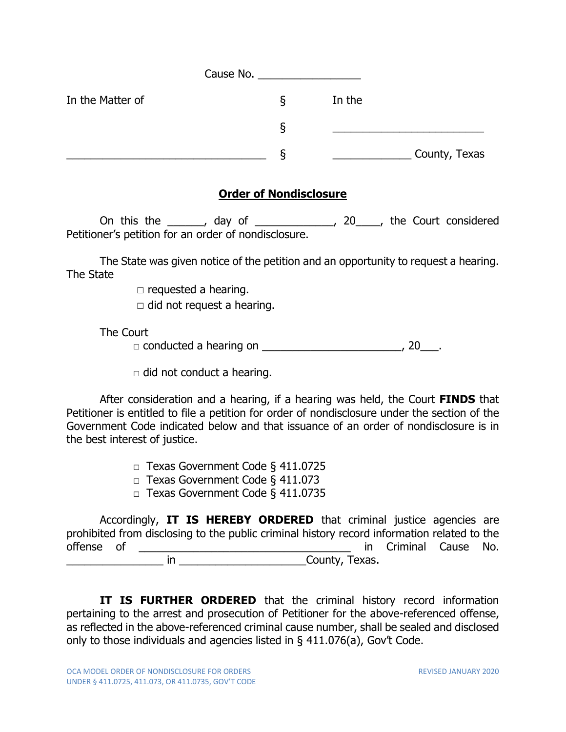|                  | Cause No. |        |               |
|------------------|-----------|--------|---------------|
| In the Matter of | ১         | In the |               |
|                  | O         |        |               |
|                  | O         |        | County, Texas |

## **Order of Nondisclosure**

On this the \_\_\_\_\_\_, day of \_\_\_\_\_\_\_\_\_\_\_\_, 20\_\_\_\_, the Court considered Petitioner's petition for an order of nondisclosure.

The State was given notice of the petition and an opportunity to request a hearing. The State

 $\square$  requested a hearing.

 $\Box$  did not request a hearing.

The Court

 $\Box$  conducted a hearing on  $\Box$ 

 $\Box$  did not conduct a hearing.

After consideration and a hearing, if a hearing was held, the Court **FINDS** that Petitioner is entitled to file a petition for order of nondisclosure under the section of the Government Code indicated below and that issuance of an order of nondisclosure is in the best interest of justice.

□ Texas Government Code § 411.0725

□ Texas Government Code § 411.073

□ Texas Government Code § 411.0735

Accordingly, **IT IS HEREBY ORDERED** that criminal justice agencies are prohibited from disclosing to the public criminal history record information related to the offense of \_\_\_\_\_\_\_\_\_\_\_\_\_\_\_\_\_\_\_\_\_\_\_\_\_\_\_\_\_\_\_\_\_\_\_ in Criminal Cause No. \_\_\_\_\_\_\_\_\_\_\_\_\_\_\_\_ in \_\_\_\_\_\_\_\_\_\_\_\_\_\_\_\_\_\_\_\_\_County, Texas.

**IT IS FURTHER ORDERED** that the criminal history record information pertaining to the arrest and prosecution of Petitioner for the above-referenced offense, as reflected in the above-referenced criminal cause number, shall be sealed and disclosed only to those individuals and agencies listed in § 411.076(a), Gov't Code.